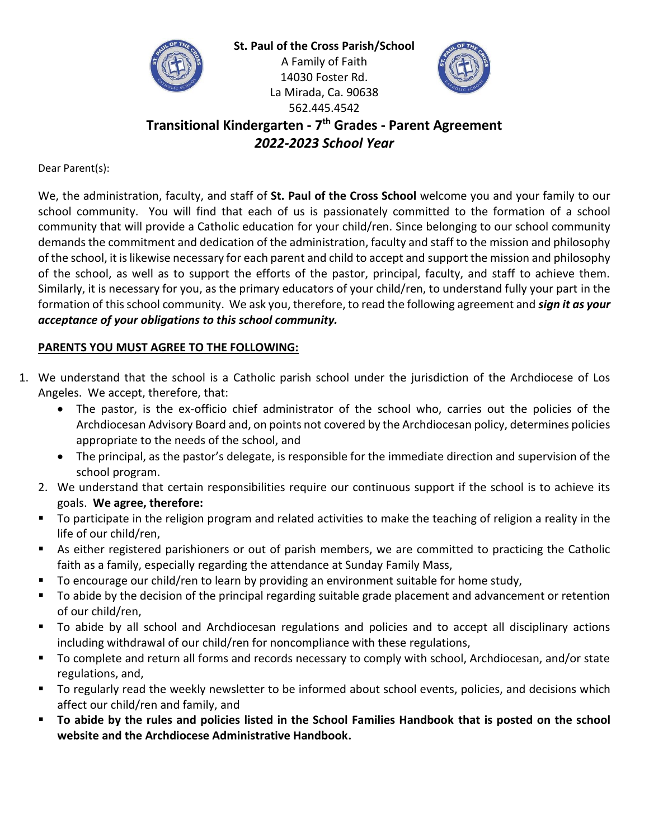



**Transitional Kindergarten - 7 th Grades - Parent Agreement** *2022-2023 School Year*

562.445.4542

Dear Parent(s):

We, the administration, faculty, and staff of **St. Paul of the Cross School** welcome you and your family to our school community. You will find that each of us is passionately committed to the formation of a school community that will provide a Catholic education for your child/ren. Since belonging to our school community demands the commitment and dedication of the administration, faculty and staff to the mission and philosophy of the school, it is likewise necessary for each parent and child to accept and support the mission and philosophy of the school, as well as to support the efforts of the pastor, principal, faculty, and staff to achieve them. Similarly, it is necessary for you, as the primary educators of your child/ren, to understand fully your part in the formation of this school community. We ask you, therefore, to read the following agreement and *sign it as your acceptance of your obligations to this school community.*

### **PARENTS YOU MUST AGREE TO THE FOLLOWING:**

- 1. We understand that the school is a Catholic parish school under the jurisdiction of the Archdiocese of Los Angeles. We accept, therefore, that:
	- The pastor, is the ex-officio chief administrator of the school who, carries out the policies of the Archdiocesan Advisory Board and, on points not covered by the Archdiocesan policy, determines policies appropriate to the needs of the school, and
	- The principal, as the pastor's delegate, is responsible for the immediate direction and supervision of the school program.
	- 2. We understand that certain responsibilities require our continuous support if the school is to achieve its goals. **We agree, therefore:**
	- To participate in the religion program and related activities to make the teaching of religion a reality in the life of our child/ren,
	- As either registered parishioners or out of parish members, we are committed to practicing the Catholic faith as a family, especially regarding the attendance at Sunday Family Mass,
	- To encourage our child/ren to learn by providing an environment suitable for home study,
	- To abide by the decision of the principal regarding suitable grade placement and advancement or retention of our child/ren,
	- To abide by all school and Archdiocesan regulations and policies and to accept all disciplinary actions including withdrawal of our child/ren for noncompliance with these regulations,
	- To complete and return all forms and records necessary to comply with school, Archdiocesan, and/or state regulations, and,
	- To regularly read the weekly newsletter to be informed about school events, policies, and decisions which affect our child/ren and family, and
	- **To abide by the rules and policies listed in the School Families Handbook that is posted on the school website and the Archdiocese Administrative Handbook.**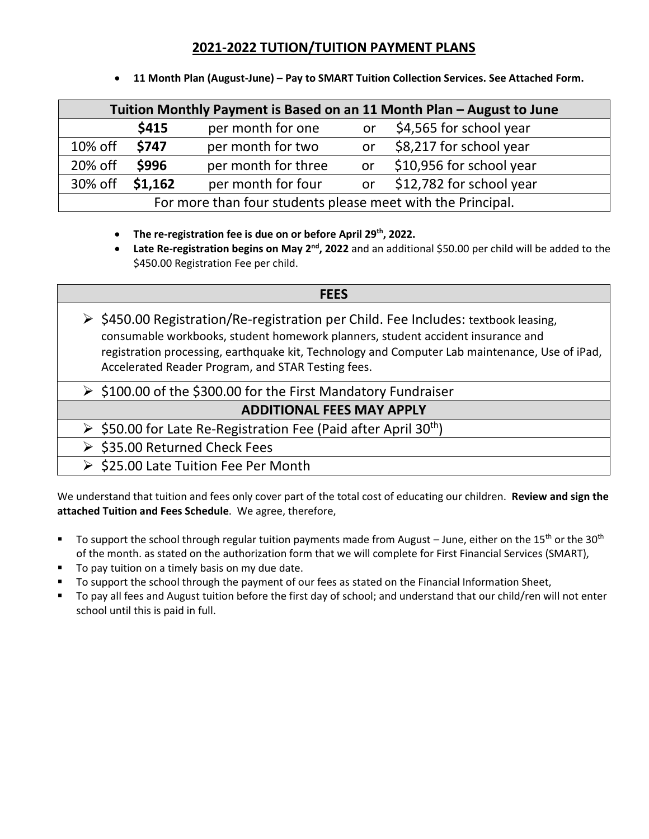## **2021-2022 TUTION/TUITION PAYMENT PLANS**

| Tuition Monthly Payment is Based on an 11 Month Plan - August to June |              |                     |    |                          |
|-----------------------------------------------------------------------|--------------|---------------------|----|--------------------------|
|                                                                       | \$415        | per month for one   | or | \$4,565 for school year  |
| 10% off                                                               | <b>\$747</b> | per month for two   | or | \$8,217 for school year  |
| 20% off                                                               | \$996        | per month for three | or | \$10,956 for school year |
| 30% off                                                               | \$1,162      | per month for four  | or | \$12,782 for school year |
| For more than four students please meet with the Principal.           |              |                     |    |                          |

• **11 Month Plan (August-June) – Pay to SMART Tuition Collection Services. See Attached Form.**

- **The re-registration fee is due on or before April 29th, 2022.**
- **Late Re-registration begins on May 2<sup>nd</sup>, 2022** and an additional \$50.00 per child will be added to the \$450.00 Registration Fee per child.

## **FEES**  $\triangleright$  \$450.00 Registration/Re-registration per Child. Fee Includes: textbook leasing, consumable workbooks, student homework planners, student accident insurance and registration processing, earthquake kit, Technology and Computer Lab maintenance, Use of iPad, Accelerated Reader Program, and STAR Testing fees.

➢ \$100.00 of the \$300.00 for the First Mandatory Fundraiser

# **ADDITIONAL FEES MAY APPLY**

- $\triangleright$  \$50.00 for Late Re-Registration Fee (Paid after April 30<sup>th</sup>)
- ➢ \$35.00 Returned Check Fees
- ➢ \$25.00 Late Tuition Fee Per Month

We understand that tuition and fees only cover part of the total cost of educating our children. **Review and sign the attached Tuition and Fees Schedule**. We agree, therefore,

- To support the school through regular tuition payments made from August June, either on the 15<sup>th</sup> or the 30<sup>th</sup> of the month. as stated on the authorization form that we will complete for First Financial Services (SMART),
- To pay tuition on a timely basis on my due date.
- To support the school through the payment of our fees as stated on the Financial Information Sheet,
- To pay all fees and August tuition before the first day of school; and understand that our child/ren will not enter school until this is paid in full.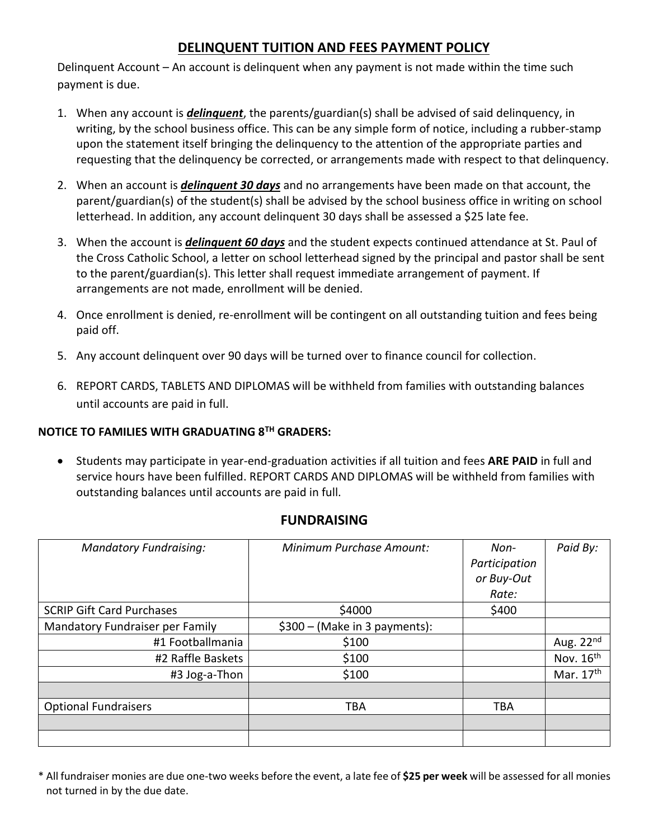# **DELINQUENT TUITION AND FEES PAYMENT POLICY**

Delinquent Account – An account is delinquent when any payment is not made within the time such payment is due.

- 1. When any account is *delinquent*, the parents/guardian(s) shall be advised of said delinquency, in writing, by the school business office. This can be any simple form of notice, including a rubber-stamp upon the statement itself bringing the delinquency to the attention of the appropriate parties and requesting that the delinquency be corrected, or arrangements made with respect to that delinquency.
- 2. When an account is *delinquent 30 days* and no arrangements have been made on that account, the parent/guardian(s) of the student(s) shall be advised by the school business office in writing on school letterhead. In addition, any account delinquent 30 days shall be assessed a \$25 late fee.
- 3. When the account is *delinquent 60 days* and the student expects continued attendance at St. Paul of the Cross Catholic School, a letter on school letterhead signed by the principal and pastor shall be sent to the parent/guardian(s). This letter shall request immediate arrangement of payment. If arrangements are not made, enrollment will be denied.
- 4. Once enrollment is denied, re-enrollment will be contingent on all outstanding tuition and fees being paid off.
- 5. Any account delinquent over 90 days will be turned over to finance council for collection.
- 6. REPORT CARDS, TABLETS AND DIPLOMAS will be withheld from families with outstanding balances until accounts are paid in full.

### **NOTICE TO FAMILIES WITH GRADUATING 8TH GRADERS:**

• Students may participate in year-end-graduation activities if all tuition and fees **ARE PAID** in full and service hours have been fulfilled. REPORT CARDS AND DIPLOMAS will be withheld from families with outstanding balances until accounts are paid in full.

| <b>Mandatory Fundraising:</b>    | Minimum Purchase Amount:      | Non-<br>Participation<br>or Buy-Out<br>Rate: | Paid By:    |
|----------------------------------|-------------------------------|----------------------------------------------|-------------|
| <b>SCRIP Gift Card Purchases</b> | \$4000                        | \$400                                        |             |
| Mandatory Fundraiser per Family  | \$300 - (Make in 3 payments): |                                              |             |
| #1 Footballmania                 | \$100                         |                                              | Aug. $22nd$ |
| #2 Raffle Baskets                | \$100                         |                                              | Nov. $16th$ |
| #3 Jog-a-Thon                    | \$100                         |                                              | Mar. 17th   |
|                                  |                               |                                              |             |
| <b>Optional Fundraisers</b>      | <b>TBA</b>                    | <b>TBA</b>                                   |             |
|                                  |                               |                                              |             |
|                                  |                               |                                              |             |

## **FUNDRAISING**

\* All fundraiser monies are due one-two weeks before the event, a late fee of **\$25 per week** will be assessed for all monies not turned in by the due date.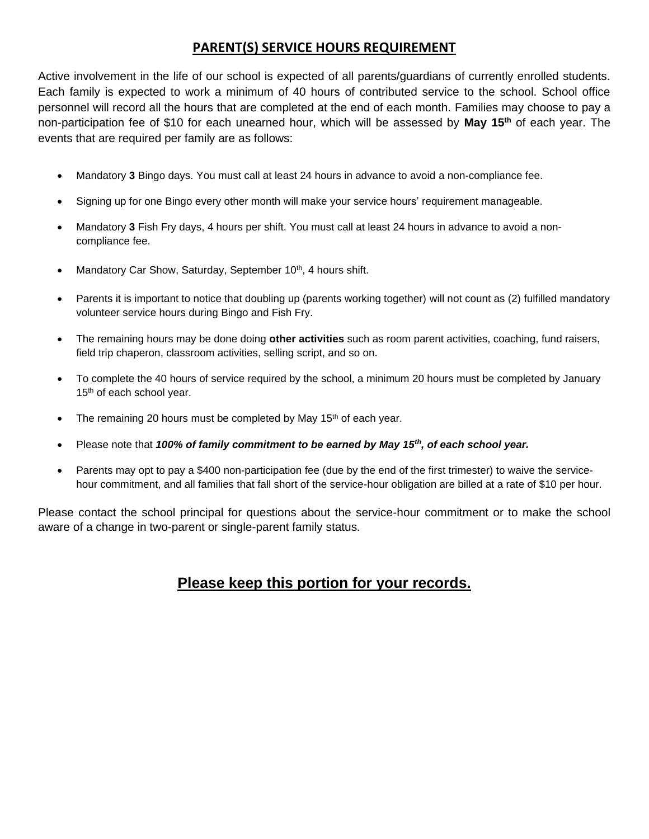## **PARENT(S) SERVICE HOURS REQUIREMENT**

Active involvement in the life of our school is expected of all parents/guardians of currently enrolled students. Each family is expected to work a minimum of 40 hours of contributed service to the school. School office personnel will record all the hours that are completed at the end of each month. Families may choose to pay a non-participation fee of \$10 for each unearned hour, which will be assessed by **May 15th** of each year. The events that are required per family are as follows:

- Mandatory **3** Bingo days. You must call at least 24 hours in advance to avoid a non-compliance fee.
- Signing up for one Bingo every other month will make your service hours' requirement manageable.
- Mandatory **3** Fish Fry days, 4 hours per shift. You must call at least 24 hours in advance to avoid a noncompliance fee.
- Mandatory Car Show, Saturday, September 10<sup>th</sup>, 4 hours shift.
- Parents it is important to notice that doubling up (parents working together) will not count as (2) fulfilled mandatory volunteer service hours during Bingo and Fish Fry.
- The remaining hours may be done doing **other activities** such as room parent activities, coaching, fund raisers, field trip chaperon, classroom activities, selling script, and so on.
- To complete the 40 hours of service required by the school, a minimum 20 hours must be completed by January 15<sup>th</sup> of each school year.
- The remaining 20 hours must be completed by May 15<sup>th</sup> of each year.
- Please note that *100% of family commitment to be earned by May 15th, of each school year.*
- Parents may opt to pay a \$400 non-participation fee (due by the end of the first trimester) to waive the servicehour commitment, and all families that fall short of the service-hour obligation are billed at a rate of \$10 per hour.

Please contact the school principal for questions about the service-hour commitment or to make the school aware of a change in two-parent or single-parent family status.

# **Please keep this portion for your records.**